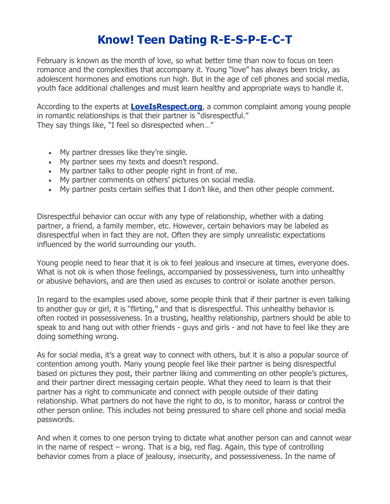## **Know! Teen Dating R-E-S-P-E-C-T**

February is known as the month of love, so what better time than now to focus on teen romance and the complexities that accompany it. Young "love" has always been tricky, as adolescent hormones and emotions run high. But in the age of cell phones and social media, youth face additional challenges and must learn healthy and appropriate ways to handle it.

According to the experts at **[LoveIsRespect.org](https://r20.rs6.net/tn.jsp?f=001NO-7g16TUKMjF1o-zESIKg8RPbnUEXbEV3tqoFwCKZhoiO5WzmpTXX6O19OMKC9bIUhsEPjDL67oWWAeH6KtulQeOsj0NARhYy1QqazKtfnzu1bibIqgSvD4LbpGMQmIxq9g33xI0LecIQXDhejhtw==&c=QLp1iBZezmTAwqR8sQD9xGMymDKD5XbUzi9xNV0lBWk3EFXuy8niyA==&ch=PwEtc2dhfKzESOo0nMvyenw2y6DuGVX9Xyy56gLKFpRjbzvn1rL1Dg==)**, a common complaint among young people in romantic relationships is that their partner is "disrespectful." They say things like, "I feel so disrespected when…"

- My partner dresses like they're single.
- My partner sees my texts and doesn't respond.
- My partner talks to other people right in front of me.
- My partner comments on others' pictures on social media.
- My partner posts certain selfies that I don't like, and then other people comment.

Disrespectful behavior can occur with any type of relationship, whether with a dating partner, a friend, a family member, etc. However, certain behaviors may be labeled as disrespectful when in fact they are not. Often they are simply unrealistic expectations influenced by the world surrounding our youth.

Young people need to hear that it is ok to feel jealous and insecure at times, everyone does. What is not ok is when those feelings, accompanied by possessiveness, turn into unhealthy or abusive behaviors, and are then used as excuses to control or isolate another person.

In regard to the examples used above, some people think that if their partner is even talking to another guy or girl, it is "flirting," and that is disrespectful. This unhealthy behavior is often rooted in possessiveness. In a trusting, healthy relationship, partners should be able to speak to and hang out with other friends - guys and girls - and not have to feel like they are doing something wrong.

As for social media, it's a great way to connect with others, but it is also a popular source of contention among youth. Many young people feel like their partner is being disrespectful based on pictures they post, their partner liking and commenting on other people's pictures, and their partner direct messaging certain people. What they need to learn is that their partner has a right to communicate and connect with people outside of their dating relationship. What partners do not have the right to do, is to monitor, harass or control the other person online. This includes not being pressured to share cell phone and social media passwords.

And when it comes to one person trying to dictate what another person can and cannot wear in the name of respect – wrong. That is a big, red flag. Again, this type of controlling behavior comes from a place of jealousy, insecurity, and possessiveness. In the name of